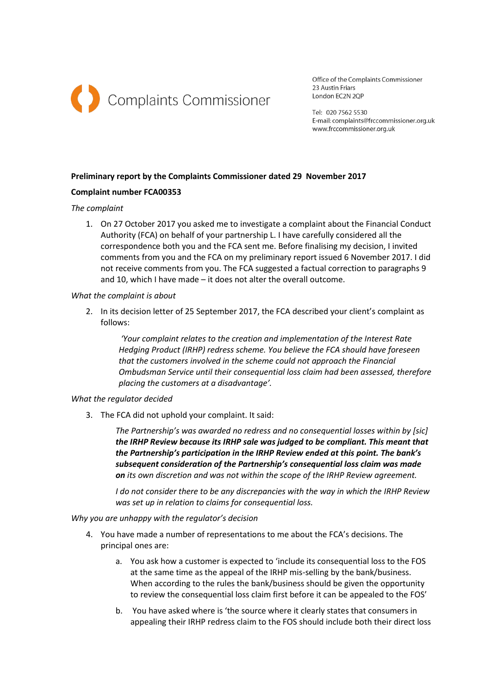

Office of the Complaints Commissioner 23 Austin Friars London EC2N 2OP

Tel: 020 7562 5530 E-mail: complaints@frccommissioner.org.uk www.frccommissioner.org.uk

# **Preliminary report by the Complaints Commissioner dated 29 November 2017**

# **Complaint number FCA00353**

# *The complaint*

1. On 27 October 2017 you asked me to investigate a complaint about the Financial Conduct Authority (FCA) on behalf of your partnership L. I have carefully considered all the correspondence both you and the FCA sent me. Before finalising my decision, I invited comments from you and the FCA on my preliminary report issued 6 November 2017. I did not receive comments from you. The FCA suggested a factual correction to paragraphs 9 and 10, which I have made – it does not alter the overall outcome.

#### *What the complaint is about*

2. In its decision letter of 25 September 2017, the FCA described your client's complaint as follows:

*'Your complaint relates to the creation and implementation of the Interest Rate Hedging Product (IRHP) redress scheme. You believe the FCA should have foreseen that the customers involved in the scheme could not approach the Financial Ombudsman Service until their consequential loss claim had been assessed, therefore placing the customers at a disadvantage'.*

# *What the regulator decided*

3. The FCA did not uphold your complaint. It said:

*The Partnership's was awarded no redress and no consequential losses within by [sic] the IRHP Review because its IRHP sale was judged to be compliant. This meant that the Partnership's participation in the IRHP Review ended at this point. The bank's subsequent consideration of the Partnership's consequential loss claim was made on its own discretion and was not within the scope of the IRHP Review agreement.* 

*I do not consider there to be any discrepancies with the way in which the IRHP Review was set up in relation to claims for consequential loss.*

*Why you are unhappy with the regulator's decision*

- 4. You have made a number of representations to me about the FCA's decisions. The principal ones are:
	- a. You ask how a customer is expected to 'include its consequential loss to the FOS at the same time as the appeal of the IRHP mis-selling by the bank/business. When according to the rules the bank/business should be given the opportunity to review the consequential loss claim first before it can be appealed to the FOS'
	- b. You have asked where is 'the source where it clearly states that consumers in appealing their IRHP redress claim to the FOS should include both their direct loss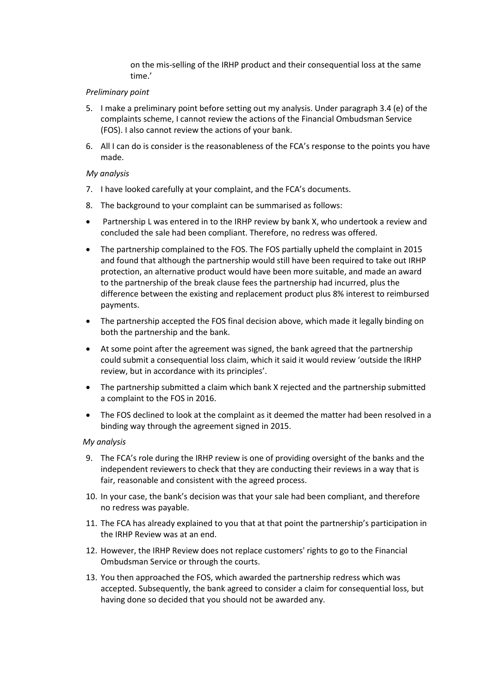on the mis-selling of the IRHP product and their consequential loss at the same time.'

#### *Preliminary point*

- 5. I make a preliminary point before setting out my analysis. Under paragraph 3.4 (e) of the complaints scheme, I cannot review the actions of the Financial Ombudsman Service (FOS). I also cannot review the actions of your bank.
- 6. All I can do is consider is the reasonableness of the FCA's response to the points you have made.

# *My analysis*

- 7. I have looked carefully at your complaint, and the FCA's documents.
- 8. The background to your complaint can be summarised as follows:
- Partnership L was entered in to the IRHP review by bank X, who undertook a review and concluded the sale had been compliant. Therefore, no redress was offered.
- The partnership complained to the FOS. The FOS partially upheld the complaint in 2015 and found that although the partnership would still have been required to take out IRHP protection, an alternative product would have been more suitable, and made an award to the partnership of the break clause fees the partnership had incurred, plus the difference between the existing and replacement product plus 8% interest to reimbursed payments.
- The partnership accepted the FOS final decision above, which made it legally binding on both the partnership and the bank.
- At some point after the agreement was signed, the bank agreed that the partnership could submit a consequential loss claim, which it said it would review 'outside the IRHP review, but in accordance with its principles'.
- The partnership submitted a claim which bank X rejected and the partnership submitted a complaint to the FOS in 2016.
- The FOS declined to look at the complaint as it deemed the matter had been resolved in a binding way through the agreement signed in 2015.

# *My analysis*

- 9. The FCA's role during the IRHP review is one of providing oversight of the banks and the independent reviewers to check that they are conducting their reviews in a way that is fair, reasonable and consistent with the agreed process.
- 10. In your case, the bank's decision was that your sale had been compliant, and therefore no redress was payable.
- 11. The FCA has already explained to you that at that point the partnership's participation in the IRHP Review was at an end.
- 12. However, the IRHP Review does not replace customers' rights to go to the Financial Ombudsman Service or through the courts.
- 13. You then approached the FOS, which awarded the partnership redress which was accepted. Subsequently, the bank agreed to consider a claim for consequential loss, but having done so decided that you should not be awarded any.